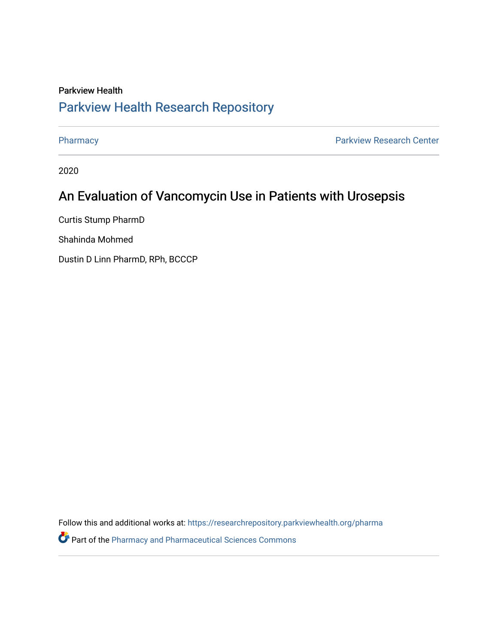### Parkview Health [Parkview Health Research Repository](https://researchrepository.parkviewhealth.org/)

[Pharmacy](https://researchrepository.parkviewhealth.org/pharma) **Pharmacy Pharmacy Pharmacy Pharmacy Pharmacy Pharmacy Pharmacy Pharmacy Pharmacy Pharmacy Pharmacy Pharmacy Pharmacy Pharmacy Pharmacy Pharmacy Pharmacy Pharmacy Pharmacy Pha** 

2020

### An Evaluation of Vancomycin Use in Patients with Urosepsis

Curtis Stump PharmD

Shahinda Mohmed

Dustin D Linn PharmD, RPh, BCCCP

Follow this and additional works at: [https://researchrepository.parkviewhealth.org/pharma](https://researchrepository.parkviewhealth.org/pharma?utm_source=researchrepository.parkviewhealth.org%2Fpharma%2F47&utm_medium=PDF&utm_campaign=PDFCoverPages) 

**P** Part of the [Pharmacy and Pharmaceutical Sciences Commons](http://network.bepress.com/hgg/discipline/731?utm_source=researchrepository.parkviewhealth.org%2Fpharma%2F47&utm_medium=PDF&utm_campaign=PDFCoverPages)